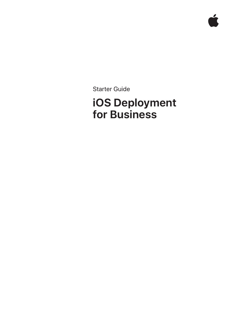Starter Guide

# **iOS Deployment for Business**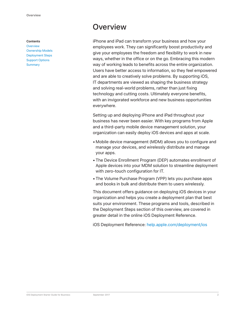#### **Contents**

**Overview** Ownership Models Deployment Steps Support Options **Summary** 

## **Overview**

iPhone and iPad can transform your business and how your employees work. They can significantly boost productivity and give your employees the freedom and flexibility to work in new ways, whether in the office or on the go. Embracing this modern way of working leads to benefits across the entire organization. Users have better access to information, so they feel empowered and are able to creatively solve problems. By supporting iOS, IT departments are viewed as shaping the business strategy and solving real-world problems, rather than just fixing technology and cutting costs. Ultimately everyone benefits, with an invigorated workforce and new business opportunities everywhere.

Setting up and deploying iPhone and iPad throughout your business has never been easier. With key programs from Apple and a third-party mobile device management solution, your organization can easily deploy iOS devices and apps at scale.

- Mobile device management (MDM) allows you to configure and manage your devices, and wirelessly distribute and manage your apps.
- The Device Enrollment Program (DEP) automates enrollment of Apple devices into your MDM solution to streamline deployment with zero-touch configuration for IT.
- The Volume Purchase Program (VPP) lets you purchase apps and books in bulk and distribute them to users wirelessly.

This document offers guidance on deploying iOS devices in your organization and helps you create a deployment plan that best suits your environment. These programs and tools, described in the Deployment Steps section of this overview, are covered in greater detail in the online iOS Deployment Reference.

iOS Deployment Reference: help.apple.com/deployment/ios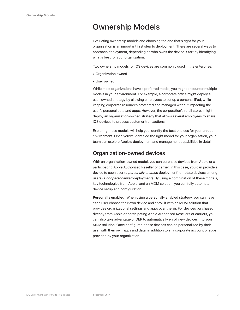# Ownership Models

Evaluating ownership models and choosing the one that's right for your organization is an important first step to deployment. There are several ways to approach deployment, depending on who owns the device. Start by identifying what's best for your organization.

Two ownership models for iOS devices are commonly used in the enterprise:

- Organization owned
- User owned

While most organizations have a preferred model, you might encounter multiple models in your environment. For example, a corporate office might deploy a user-owned strategy by allowing employees to set up a personal iPad, while keeping corporate resources protected and managed without impacting the user's personal data and apps. However, the corporation's retail stores might deploy an organization-owned strategy that allows several employees to share iOS devices to process customer transactions.

Exploring these models will help you identify the best choices for your unique environment. Once you've identified the right model for your organization, your team can explore Apple's deployment and management capabilities in detail.

### Organization-owned devices

With an organization-owned model, you can purchase devices from Apple or a participating Apple Authorized Reseller or carrier. In this case, you can provide a device to each user (a *personally enabled* deployment) or rotate devices among users (a *nonpersonalized* deployment). By using a combination of these models, key technologies from Apple, and an MDM solution, you can fully automate device setup and configuration.

**Personally enabled.** When using a personally enabled strategy, you can have each user choose their own device and enroll it with an MDM solution that provides organizational settings and apps over the air. For devices purchased directly from Apple or participating Apple Authorized Resellers or carriers, you can also take advantage of DEP to automatically enroll new devices into your MDM solution. Once configured, these devices can be personalized by their user with their own apps and data, in addition to any corporate account or apps provided by your organization.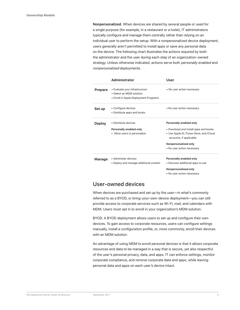**Nonpersonalized.** When devices are shared by several people or used for a single purpose (for example, in a restaurant or a hotel), IT administrators typically configure and manage them centrally rather than relying on an individual user to perform the setup. With a nonpersonalized device deployment, users generally aren't permitted to install apps or save any personal data on the device. The following chart illustrates the actions required by both the administrator and the user during each step of an organization-owned strategy. Unless otherwise indicated, actions serve both *personally enabled* and *nonpersonalized* deployments.

|                | Administrator                                                                                       | User                                                                                                                                                                                          |
|----------------|-----------------------------------------------------------------------------------------------------|-----------------------------------------------------------------------------------------------------------------------------------------------------------------------------------------------|
| <b>Prepare</b> | • Evaluate your infrastructure<br>• Select an MDM solution<br>• Enroll in Apple Deployment Programs | • No user action necessary                                                                                                                                                                    |
| Set up         | • Configure devices<br>• Distribute apps and books                                                  | • No user action necessary                                                                                                                                                                    |
| <b>Deploy</b>  | • Distribute devices<br>Personally enabled only<br>• Allow users to personalize                     | Personally enabled only<br>• Download and install apps and books<br>• Use Apple ID, iTunes Store, and iCloud<br>accounts, if applicable<br>Nonpersonalized only<br>• No user action necessary |
| Manage         | • Administer devices<br>• Deploy and manage additional content                                      | Personally enabled only<br>• Discover additional apps to use<br>Nonpersonalized only<br>• No user action necessary                                                                            |

### User-owned devices

When devices are purchased and set up by the user—in what's commonly referred to as a BYOD, or bring-your-own-device deployment—you can still provide access to corporate services such as Wi-Fi, mail, and calendars with MDM. Users must opt in to enroll in your organization's MDM solution.

BYOD. A BYOD deployment allows users to set up and configure their own devices. To gain access to corporate resources, users can configure settings manually, install a configuration profile, or, more commonly, enroll their devices with an MDM solution.

An advantage of using MDM to enroll personal devices is that it allows corporate resources and data to be managed in a way that is secure, yet also respectful of the user's personal privacy, data, and apps. IT can enforce settings, monitor corporate compliance, and remove corporate data and apps, while leaving personal data and apps on each user's device intact.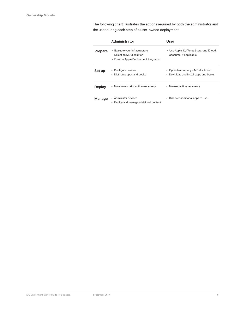The following chart illustrates the actions required by both the administrator and the user during each step of a user-owned deployment.

|                | Administrator                                                                                       | User                                                                        |
|----------------|-----------------------------------------------------------------------------------------------------|-----------------------------------------------------------------------------|
| <b>Prepare</b> | • Evaluate your infrastructure<br>• Select an MDM solution<br>• Enroll in Apple Deployment Programs | • Use Apple ID, iTunes Store, and iCloud<br>accounts, if applicable         |
| Set up         | • Configure devices<br>• Distribute apps and books                                                  | • Opt in to company's MDM solution<br>• Download and install apps and books |
| <b>Deploy</b>  | • No administrator action necessary                                                                 | • No user action necessary                                                  |
| Manage         | • Administer devices<br>Deploy and manage additional content                                        | • Discover additional apps to use                                           |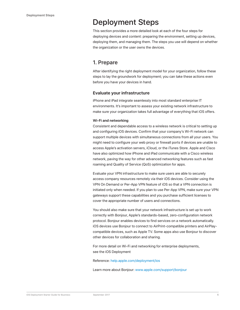# Deployment Steps

This section provides a more detailed look at each of the four steps for deploying devices and content: preparing the environment, setting up devices, deploying them, and managing them. The steps you use will depend on whether the organization or the user owns the devices.

### 1. Prepare

After identifying the right deployment model for your organization, follow these steps to lay the groundwork for deployment; you can take these actions even before you have your devices in hand.

### **Evaluate your infrastructure**

iPhone and iPad integrate seamlessly into most standard enterprise IT environments. It's important to assess your existing network infrastructure to make sure your organization takes full advantage of everything that iOS offers.

### **Wi-Fi and networking**

Consistent and dependable access to a wireless network is critical to setting up and configuring iOS devices. Confirm that your company's Wi-Fi network can support multiple devices with simultaneous connections from all your users. You might need to configure your web proxy or firewall ports if devices are unable to access Apple's activation servers, iCloud, or the iTunes Store. Apple and Cisco have also optimized how iPhone and iPad communicate with a Cisco wireless network, paving the way for other advanced networking features such as fast roaming and Quality of Service (QoS) optimization for apps.

Evaluate your VPN infrastructure to make sure users are able to securely access company resources remotely via their iOS devices. Consider using the VPN On Demand or Per-App VPN feature of iOS so that a VPN connection is initiated only when needed. If you plan to use Per-App VPN, make sure your VPN gateways support these capabilities and you purchase sufficient licenses to cover the appropriate number of users and connections.

You should also make sure that your network infrastructure is set up to work correctly with Bonjour, Apple's standards-based, zero-configuration network protocol. Bonjour enables devices to find services on a network automatically. iOS devices use Bonjour to connect to AirPrint-compatible printers and AirPlaycompatible devices, such as Apple TV. Some apps also use Bonjour to discover other devices for collaboration and sharing.

For more detail on Wi-Fi and networking for enterprise deployments, see the iOS Deployment

### Reference: help.apple.com/deployment/ios

Learn more about Bonjour: www.apple.com/support/bonjour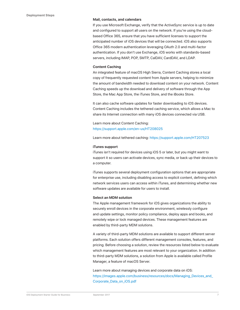### **Mail, contacts, and calendars**

If you use Microsoft Exchange, verify that the ActiveSync service is up to date and configured to support all users on the network. If you're using the cloudbased Office 365, ensure that you have sufficient licenses to support the anticipated number of iOS devices that will be connected. iOS also supports Office 365 modern authentication leveraging OAuth 2.0 and multi-factor authentication. If you don't use Exchange, iOS works with standards-based servers, including IMAP, POP, SMTP, CalDAV, CardDAV, and LDAP.

#### **Content Caching**

An integrated feature of macOS High Sierra, Content Caching stores a local copy of frequently requested content from Apple servers, helping to minimize the amount of bandwidth needed to download content on your network. Content Caching speeds up the download and delivery of software through the App Store, the Mac App Store, the iTunes Store, and the iBooks Store.

It can also cache software updates for faster downloading to iOS devices. Content Caching includes the tethered caching service, which allows a Mac to share its Internet connection with many iOS devices connected via USB.

Learn more about Content Caching: https://support.apple.com/en-us/HT208025

Learn more about tethered caching: https://support.apple.com/HT207523

#### **iTunes support**

iTunes isn't required for devices using iOS 5 or later, but you might want to support it so users can activate devices, sync media, or back up their devices to a computer.

iTunes supports several deployment configuration options that are appropriate for enterprise use, including disabling access to explicit content, defining which network services users can access within iTunes, and determining whether new software updates are available for users to install.

### **Select an MDM solution**

The Apple management framework for iOS gives organizations the ability to securely enroll devices in the corporate environment, wirelessly configure and update settings, monitor policy compliance, deploy apps and books, and remotely wipe or lock managed devices. These management features are enabled by third-party MDM solutions.

A variety of third-party MDM solutions are available to support different server platforms. Each solution offers different management consoles, features, and pricing. Before choosing a solution, review the resources listed below to evaluate which management features are most relevant to your organization. In addition to third-party MDM solutions, a solution from Apple is available called Profile Manager, a feature of macOS Server.

Learn more about managing devices and corporate data on iOS: https://images.apple.com/business/resources/docs/Managing\_Devices\_and\_ Corporate\_Data\_on\_iOS.pdf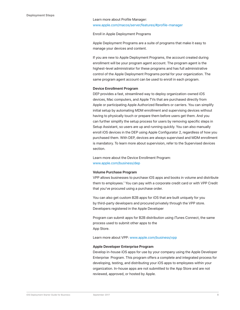### Learn more about Profile Manager: www.apple.com/macos/server/features/#profile-manager

### Enroll in Apple Deployment Programs

Apple Deployment Programs are a suite of programs that make it easy to manage your devices and content.

If you are new to Apple Deployment Programs, the account created during enrollment will be your program agent account. The program agent is the highest-level administrator for these programs and has full administrative control of the Apple Deployment Programs portal for your organization. The same program agent account can be used to enroll in each program.

### **Device Enrollment Program**

DEP provides a fast, streamlined way to deploy organization-owned iOS devices, Mac computers, and Apple TVs that are purchased directly from Apple or participating Apple Authorized Resellers or carriers. You can simplify initial setup by automating MDM enrollment and supervising devices without having to physically touch or prepare them before users get them. And you can further simplify the setup process for users by removing specific steps in Setup Assistant, so users are up and running quickly. You can also manually enroll iOS devices in the DEP using Apple Configurator 2, regardless of how you purchased them. With DEP, devices are always supervised and MDM enrollment is mandatory. To learn more about supervision, refer to the Supervised devices section.

Learn more about the Device Enrollment Program: www.apple.com/business/dep

### **Volume Purchase Program**

VPP allows businesses to purchase iOS apps and books in volume and distribute them to employees.<sup>1</sup> You can pay with a corporate credit card or with VPP Credit that you've procured using a purchase order.

You can also get custom B2B apps for iOS that are built uniquely for you by third-party developers and procured privately through the VPP store. Developers registered in the Apple Developer

Program can submit apps for B2B distribution using iTunes Connect, the same process used to submit other apps to the App Store.

Learn more about VPP: www.apple.com/business/vpp

#### **Apple Developer Enterprise Program**

Develop in-house iOS apps for use by your company using the Apple Developer Enterprise Program. This program offers a complete and integrated process for developing, testing, and distributing your iOS apps to employees within your organization. In-house apps are not submitted to the App Store and are not reviewed, approved, or hosted by Apple.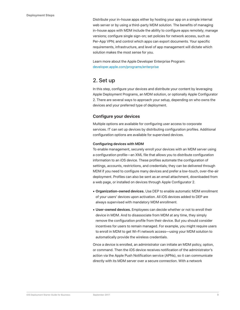Distribute your in-house apps either by hosting your app on a simple internal web server or by using a third-party MDM solution. The benefits of managing in-house apps with MDM include the ability to configure apps remotely; manage versions; configure single sign-on; set policies for network access, such as Per-App VPN; and control which apps can export documents. Your specific requirements, infrastructure, and level of app management will dictate which solution makes the most sense for you.

Learn more about the Apple Developer Enterprise Program: developer.apple.com/programs/enterprise

### 2. Set up

In this step, configure your devices and distribute your content by leveraging Apple Deployment Programs, an MDM solution, or optionally Apple Configurator 2. There are several ways to approach your setup, depending on who owns the devices and your preferred type of deployment.

### **Configure your devices**

Multiple options are available for configuring user access to corporate services. IT can set up devices by distributing configuration profiles. Additional configuration options are available for supervised devices.

### **Configuring devices with MDM**

To enable management, securely enroll your devices with an MDM server using a configuration profile—an XML file that allows you to distribute configuration information to an iOS device. These profiles automate the configuration of settings, accounts, restrictions, and credentials; they can be delivered through MDM if you need to configure many devices and prefer a low-touch, over-the-air deployment. Profiles can also be sent as an email attachment, downloaded from a web page, or installed on devices through Apple Configurator 2.

- **• Organization-owned devices.** Use DEP to enable automatic MDM enrollment of your users' devices upon activation. All iOS devices added to DEP are always supervised with mandatory MDM enrollment.
- **• User-owned devices.** Employees can decide whether or not to enroll their device in MDM. And to disassociate from MDM at any time, they simply remove the configuration profile from their device. But you should consider incentives for users to remain managed. For example, you might require users to enroll in MDM to get Wi-Fi network access—using your MDM solution to automatically provide the wireless credentials.

Once a device is enrolled, an administrator can initiate an MDM policy, option, or command. Then the iOS device receives notification of the administrator's action via the Apple Push Notification service (APNs), so it can communicate directly with its MDM server over a secure connection. With a network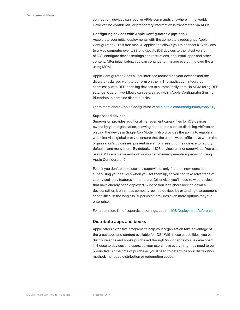connection, devices can receive APNs commands anywhere in the world. However, no confidential or proprietary information is transmitted via APNs.

#### **Configuring devices with Apple Configurator 2 (optional)**

Accelerate your initial deployments with the completely redesigned Apple Configurator 2. This free macOS application allows you to connect iOS devices to a Mac computer over USB and update iOS devices to the latest version of iOS, configure device settings and restrictions, and install apps and other content. After initial setup, you can continue to manage everything over the air using MDM.

Apple Configurator 2 has a user interface focused on your devices and the discrete tasks you want to perform on them. The application integrates seamlessly with DEP, enabling devices to automatically enroll in MDM using DEP settings. Custom workflows can be created within Apple Configurator 2 using Blueprints to combine discrete tasks.

Learn more about Apple Configurator 2: help.apple.com/configurator/mac/2.0/

### **Supervised devices**

Supervision provides additional management capabilities for iOS devices owned by your organization, allowing restrictions such as disabling AirDrop or placing the device in Single App Mode. It also provides the ability to enable a web filter via a global proxy to ensure that the users' web traffic stays within the organization's guidelines, prevent users from resetting their device to factory defaults, and many more. By default, all iOS devices are nonsupervised. You can use DEP to enable supervision or you can manually enable supervision using Apple Configurator 2.

Even if you don't plan to use any supervised-only features now, consider supervising your devices when you set them up, so you can take advantage of supervised-only features in the future. Otherwise, you'll need to wipe devices that have already been deployed. Supervision isn't about locking down a device; rather, it enhances company-owned devices by extending management capabilities. In the long run, supervision provides even more options for your enterprise.

For a complete list of supervised settings, see the iOS Deployment Reference.

### **Distribute apps and books**

Apple offers extensive programs to help your organization take advantage of the great apps and content available for iOS.<sup>1</sup> With these capabilities, you can distribute apps and books purchased through VPP or apps you've developed in-house to devices and users, so your users have everything they need to be productive. At the time of purchase, you'll need to determine your distribution method: managed distribution or redemption codes.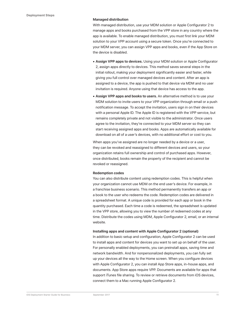### **Managed distribution**

With managed distribution, use your MDM solution or Apple Configurator 2 to manage apps and books purchased from the VPP store in any country where the app is available. To enable managed distribution, you must first link your MDM solution to your VPP account using a secure token. Once you're connected to your MDM server, you can assign VPP apps and books, even if the App Store on the device is disabled.

- **• Assign VPP apps to devices.** Using your MDM solution or Apple Configurator 2, assign apps directly to devices. This method saves several steps in the initial rollout, making your deployment significantly easier and faster, while giving you full control over managed devices and content. After an app is assigned to a device, the app is pushed to that device via MDM and no user invitation is required. Anyone using that device has access to the app.
- **• Assign VPP apps and books to users.** An alternative method is to use your MDM solution to invite users to your VPP organization through email or a push notification message. To accept the invitation, users sign in on their devices with a personal Apple ID. The Apple ID is registered with the VPP service, but remains completely private and not visible to the administrator. Once users agree to the invitation, they're connected to your MDM server so they can start receiving assigned apps and books. Apps are automatically available for download on all of a user's devices, with no additional effort or cost to you.

When apps you've assigned are no longer needed by a device or a user, they can be revoked and reassigned to different devices and users, so your organization retains full ownership and control of purchased apps. However, once distributed, books remain the property of the recipient and cannot be revoked or reassigned.

### **Redemption codes**

You can also distribute content using redemption codes. This is helpful when your organization cannot use MDM on the end user's device. For example, in a franchise business scenario. This method permanently transfers an app or a book to the user who redeems the code. Redemption codes are delivered in a spreadsheet format. A unique code is provided for each app or book in the quantity purchased. Each time a code is redeemed, the spreadsheet is updated in the VPP store, allowing you to view the number of redeemed codes at any time. Distribute the codes using MDM, Apple Configurator 2, email, or an internal website.

### **Installing apps and content with Apple Configurator 2 (optional)**

In addition to basic setup and configuration, Apple Configurator 2 can be used to install apps and content for devices you want to set up on behalf of the user. For personally enabled deployments, you can preinstall apps, saving time and network bandwidth. And for nonpersonalized deployments, you can fully set up your devices all the way to the Home screen. When you configure devices with Apple Configurator 2, you can install App Store apps, in-house apps, and documents. App Store apps require VPP. Documents are available for apps that support iTunes file sharing. To review or retrieve documents from iOS devices, connect them to a Mac running Apple Configurator 2.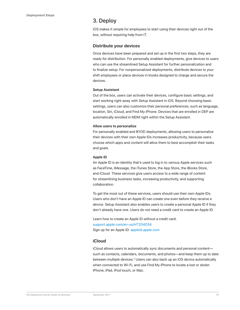### 3. Deploy

iOS makes it simple for employees to start using their devices right out of the box, without requiring help from IT.

### **Distribute your devices**

Once devices have been prepared and set up in the first two steps, they are ready for distribution. For personally enabled deployments, give devices to users who can use the streamlined Setup Assistant for further personalization and to finalize setup. For nonpersonalized deployments, distribute devices to your shift employees or place devices in kiosks designed to charge and secure the devices.

### **Setup Assistant**

Out of the box, users can activate their devices, configure basic settings, and start working right away with Setup Assistant in iOS. Beyond choosing basic settings, users can also customize their personal preferences, such as language, location, Siri, iCloud, and Find My iPhone. Devices that are enrolled in DEP are automatically enrolled in MDM right within the Setup Assistant.

### **Allow users to personalize**

For personally enabled and BYOD deployments, allowing users to personalize their devices with their own Apple IDs increases productivity, because users choose which apps and content will allow them to best accomplish their tasks and goals.

### **Apple ID**

An Apple ID is an identity that's used to log in to various Apple services such as FaceTime, iMessage, the iTunes Store, the App Store, the iBooks Store, and iCloud. These services give users access to a wide range of content for streamlining business tasks, increasing productivity, and supporting collaboration.

To get the most out of these services, users should use their own Apple IDs. Users who don't have an Apple ID can create one even before they receive a device. Setup Assistant also enables users to create a personal Apple ID if they don't already have one. Users do not need a credit card to create an Apple ID.

Learn how to create an Apple ID without a credit card: support.apple.com/en-us/HT204034 Sign up for an Apple ID: appleid.apple.com

### **iCloud**

iCloud allows users to automatically sync documents and personal content such as contacts, calendars, documents, and photos—and keep them up to date between multiple devices.<sup>2</sup> Users can also back up an iOS device automatically when connected to Wi-Fi, and use Find My iPhone to locate a lost or stolen iPhone, iPad, iPod touch, or Mac.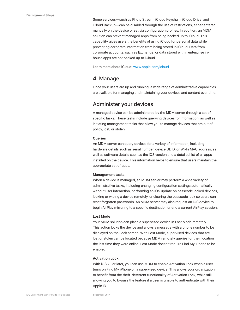Some services—such as Photo Stream, iCloud Keychain, iCloud Drive, and iCloud Backup—can be disabled through the use of restrictions, either entered manually on the device or set via configuration profiles. In addition, an MDM solution can prevent managed apps from being backed up to iCloud. This capability gives users the benefits of using iCloud for personal data while preventing corporate information from being stored in iCloud. Data from corporate accounts, such as Exchange, or data stored within enterprise inhouse apps are not backed up to iCloud.

Learn more about iCloud: www.apple.com/icloud

### 4. Manage

Once your users are up and running, a wide range of administrative capabilities are available for managing and maintaining your devices and content over time.

### Administer your devices

A managed device can be administered by the MDM server through a set of specific tasks. These tasks include querying devices for information, as well as initiating management tasks that allow you to manage devices that are out of policy, lost, or stolen.

### **Queries**

An MDM server can query devices for a variety of information, including hardware details such as serial number, device UDID, or Wi-Fi MAC address, as well as software details such as the iOS version and a detailed list of all apps installed on the device. This information helps to ensure that users maintain the appropriate set of apps.

### **Management tasks**

When a device is managed, an MDM server may perform a wide variety of administrative tasks, including changing configuration settings automatically without user interaction, performing an iOS update on passcode locked devices, locking or wiping a device remotely, or clearing the passcode lock so users can reset forgotten passwords. An MDM server may also request an iOS device to begin AirPlay mirroring to a specific destination or end a current AirPlay session.

### **Lost Mode**

Your MDM solution can place a supervised device in Lost Mode remotely. This action locks the device and allows a message with a phone number to be displayed on the Lock screen. With Lost Mode, supervised devices that are lost or stolen can be located because MDM remotely queries for their location the last time they were online. Lost Mode doesn't require Find My iPhone to be enabled.

### **Activation Lock**

With iOS 7.1 or later, you can use MDM to enable Activation Lock when a user turns on Find My iPhone on a supervised device. This allows your organization to benefit from the theft-deterrent functionality of Activation Lock, while still allowing you to bypass the feature if a user is unable to authenticate with their Apple ID.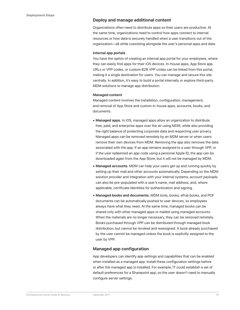### **Deploy and manage additional content**

Organizations often need to distribute apps so their users are productive. At the same time, organizations need to control how apps connect to internal resources or how data is securely handled when a user transitions out of the organization—all while coexisting alongside the user's personal apps and data.

#### **Internal app portals**

You have the option of creating an internal app portal for your employees, where they can easily find apps for their iOS devices. In-house apps, App Store app URLs or VPP codes, or custom B2B VPP codes can be linked from this portal, making it a single destination for users. You can manage and secure this site centrally. In addition, it's easy to build a portal internally or explore third-party MDM solutions to manage app distribution.

### **Managed content**

Managed content involves the installation, configuration, management, and removal of App Store and custom in-house apps, accounts, books, and documents.

- **• Managed apps.** In iOS, managed apps allow an organization to distribute free, paid, and enterprise apps over the air using MDM, while also providing the right balance of protecting corporate data and respecting user privacy. Managed apps can be removed remotely by an MDM server or when users remove their own devices from MDM. Removing the app also removes the data associated with the app. If an app remains assigned to a user through VPP, or if the user redeemed an app code using a personal Apple ID, the app can be downloaded again from the App Store, but it will not be managed by MDM.
- **• Managed accounts.** MDM can help your users get up and running quickly by setting up their mail and other accounts automatically. Depending on the MDM solution provider and integration with your internal systems, account payloads can also be pre-populated with a user's name, mail address, and, where applicable, certificate identities for authentication and signing.
- **• Managed books and documents.** MDM tools, books, ePub books, and PDF documents can be automatically pushed to user devices, so employees always have what they need. At the same time, managed books can be shared only with other managed apps or mailed using managed accounts. When the materials are no longer necessary, they can be removed remotely. Books purchased through VPP can be distributed through managed book distribution, but cannot be revoked and reassigned. A book already purchased by the user cannot be managed unless the book is explicitly assigned to the user by VPP.

### **Managed app configuration**

App developers can identify app settings and capabilities that can be enabled when installed as a managed app. Install these configuration settings before or after the managed app is installed. For example, IT could establish a set of default preferences for a Sharepoint app, so the user doesn't need to manually configure server settings.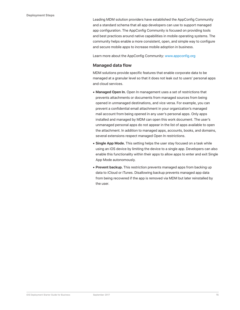Leading MDM solution providers have established the AppConfig Community and a standard schema that all app developers can use to support managed app configuration. The AppConfig Community is focused on providing tools and best practices around native capabilities in mobile operating systems. The community helps enable a more consistent, open, and simple way to configure and secure mobile apps to increase mobile adoption in business.

Learn more about the AppConfig Community: www.appconfig.org

### **Managed data flow**

MDM solutions provide specific features that enable corporate data to be managed at a granular level so that it does not leak out to users' personal apps and cloud services.

- **• Managed Open In.** Open In management uses a set of restrictions that prevents attachments or documents from managed sources from being opened in unmanaged destinations, and vice versa. For example, you can prevent a confidential email attachment in your organization's managed mail account from being opened in any user's personal apps. Only apps installed and managed by MDM can open this work document. The user's unmanaged personal apps do not appear in the list of apps available to open the attachment. In addition to managed apps, accounts, books, and domains, several extensions respect managed Open In restrictions.
- **• Single App Mode.** This setting helps the user stay focused on a task while using an iOS device by limiting the device to a single app. Developers can also enable this functionality within their apps to allow apps to enter and exit Single App Mode autonomously.
- **• Prevent backup.** This restriction prevents managed apps from backing up data to iCloud or iTunes. Disallowing backup prevents managed app data from being recovered if the app is removed via MDM but later reinstalled by the user.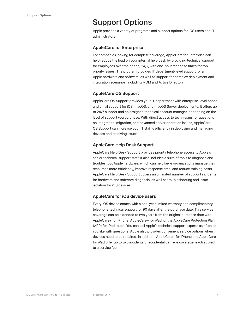# Support Options

Apple provides a variety of programs and support options for iOS users and IT administrators.

### **AppleCare for Enterprise**

For companies looking for complete coverage, AppleCare for Enterprise can help reduce the load on your internal help desk by providing technical support for employees over the phone, 24/7, with one-hour response times for toppriority issues. The program provides IT department-level support for all Apple hardware and software, as well as support for complex deployment and integration scenarios, including MDM and Active Directory.

### **AppleCare OS Support**

AppleCare OS Support provides your IT department with enterprise-level phone and email support for iOS, macOS, and macOS Server deployments. It offers up to 24/7 support and an assigned technical account manager, depending on the level of support you purchase. With direct access to technicians for questions on integration, migration, and advanced server operation issues, AppleCare OS Support can increase your IT staff's efficiency in deploying and managing devices and resolving issues.

### **AppleCare Help Desk Support**

AppleCare Help Desk Support provides priority telephone access to Apple's senior technical support staff. It also includes a suite of tools to diagnose and troubleshoot Apple hardware, which can help large organizations manage their resources more efficiently, improve response time, and reduce training costs. AppleCare Help Desk Support covers an unlimited number of support incidents for hardware and software diagnosis, as well as troubleshooting and issue isolation for iOS devices.

### **AppleCare for iOS device users**

Every iOS device comes with a one-year limited warranty and complimentary telephone technical support for 90 days after the purchase date. This service coverage can be extended to two years from the original purchase date with AppleCare+ for iPhone, AppleCare+ for iPad, or the AppleCare Protection Plan (APP) for iPod touch. You can call Apple's technical support experts as often as you like with questions. Apple also provides convenient service options when devices need to be repaired. In addition, AppleCare+ for iPhone and AppleCare+ for iPad offer up to two incidents of accidental damage coverage, each subject to a service fee.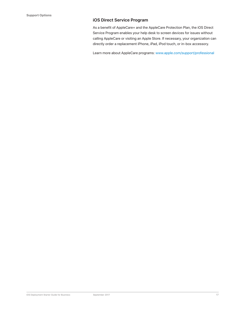### **iOS Direct Service Program**

As a benefit of AppleCare+ and the AppleCare Protection Plan, the iOS Direct Service Program enables your help desk to screen devices for issues without calling AppleCare or visiting an Apple Store. If necessary, your organization can directly order a replacement iPhone, iPad, iPod touch, or in-box accessory.

Learn more about AppleCare programs: www.apple.com/support/professional